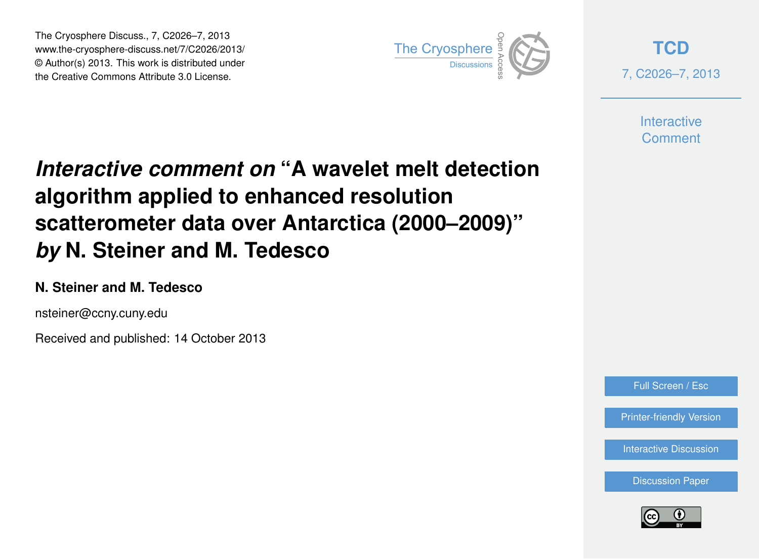The Cryosphere Discuss., 7, C2026–7, 2013 www.the-cryosphere-discuss.net/7/C2026/2013/ www.the-cryosphere-discuss.het///C2020/2013/<br>© Author(s) 2013. This work is distributed under the Creative Commons Attribute 3.0 License.



**[TCD](http://www.the-cryosphere-discuss.net)** 7, C2026–7, 2013

> **Interactive Comment**

# *Interactive comment on* **"A wavelet melt detection algorithm applied to enhanced resolution scatterometer data over Antarctica (2000–2009)"** *by* **N. Steiner and M. Tedesco**

## **N. Steiner and M. Tedesco**

nsteiner@ccny.cuny.edu

Received and published: 14 October 2013

Full Screen / Esc

[Printer-friendly Version](http://www.the-cryosphere-discuss.net/7/C2026/2013/tcd-7-C2026-2013-print.pdf)

[Interactive Discussion](http://www.the-cryosphere-discuss.net/7/2635/2013/tcd-7-2635-2013-discussion.html)

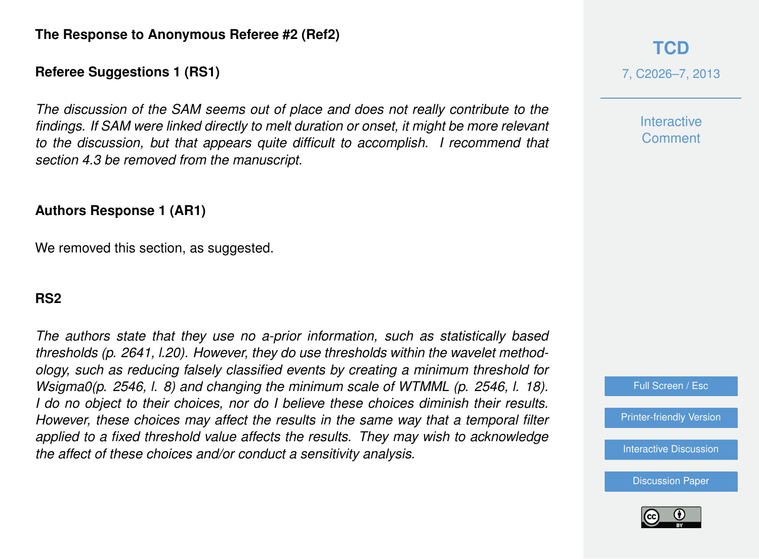## **Referee Suggestions 1 (RS1)**

*The discussion of the SAM seems out of place and does not really contribute to the findings. If SAM were linked directly to melt duration or onset, it might be more relevant to the discussion, but that appears quite difficult to accomplish. I recommend that section 4.3 be removed from the manuscript.*

#### **Authors Response 1 (AR1)**

We removed this section, as suggested.

#### **RS2**

*The authors state that they use no a-prior information, such as statistically based thresholds (p. 2641, l.20). However, they do use thresholds within the wavelet methodology, such as reducing falsely classified events by creating a minimum threshold for Wsigma0(p. 2546, l. 8) and changing the minimum scale of WTMML (p. 2546, l. 18). I do no object to their choices, nor do I believe these choices diminish their results. However, these choices may affect the results in the same way that a temporal filter applied to a fixed threshold value affects the results. They may wish to acknowledge the affect of these choices and/or conduct a sensitivity analysis.*

# **[TCD](http://www.the-cryosphere-discuss.net)** 7, C2026–7, 2013

**Interactive Comment** 



[Printer-friendly Version](http://www.the-cryosphere-discuss.net/7/C2026/2013/tcd-7-C2026-2013-print.pdf)

[Interactive Discussion](http://www.the-cryosphere-discuss.net/7/2635/2013/tcd-7-2635-2013-discussion.html)

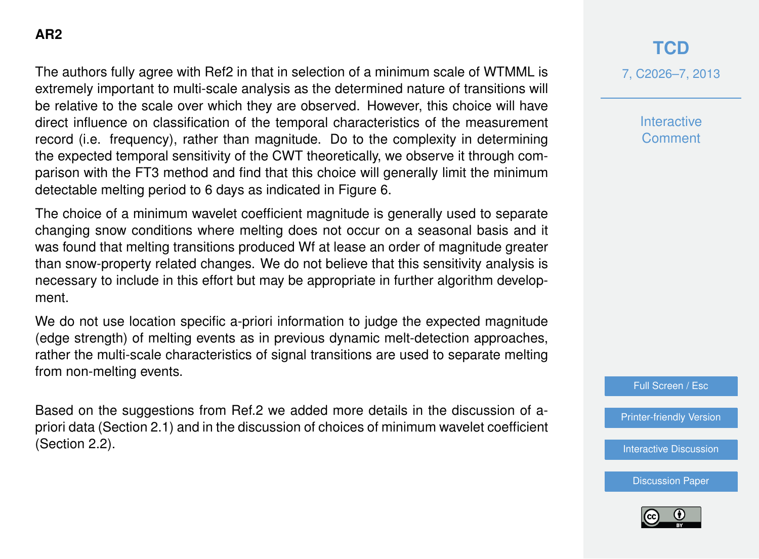The authors fully agree with Ref2 in that in selection of a minimum scale of WTMML is extremely important to multi-scale analysis as the determined nature of transitions will be relative to the scale over which they are observed. However, this choice will have direct influence on classification of the temporal characteristics of the measurement record (i.e. frequency), rather than magnitude. Do to the complexity in determining the expected temporal sensitivity of the CWT theoretically, we observe it through comparison with the FT3 method and find that this choice will generally limit the minimum detectable melting period to 6 days as indicated in Figure 6.

The choice of a minimum wavelet coefficient magnitude is generally used to separate changing snow conditions where melting does not occur on a seasonal basis and it was found that melting transitions produced Wf at lease an order of magnitude greater than snow-property related changes. We do not believe that this sensitivity analysis is necessary to include in this effort but may be appropriate in further algorithm development.

We do not use location specific a-priori information to judge the expected magnitude (edge strength) of melting events as in previous dynamic melt-detection approaches, rather the multi-scale characteristics of signal transitions are used to separate melting from non-melting events.

Based on the suggestions from Ref.2 we added more details in the discussion of apriori data (Section 2.1) and in the discussion of choices of minimum wavelet coefficient (Section 2.2).

# **[TCD](http://www.the-cryosphere-discuss.net)**

7, C2026–7, 2013

**Interactive Comment** 

Full Screen / Esc

[Printer-friendly Version](http://www.the-cryosphere-discuss.net/7/C2026/2013/tcd-7-C2026-2013-print.pdf)

[Interactive Discussion](http://www.the-cryosphere-discuss.net/7/2635/2013/tcd-7-2635-2013-discussion.html)

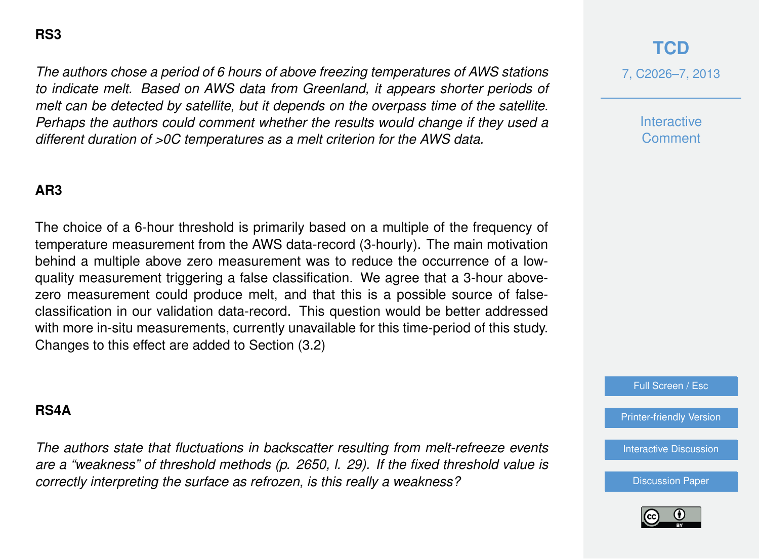*The authors chose a period of 6 hours of above freezing temperatures of AWS stations to indicate melt. Based on AWS data from Greenland, it appears shorter periods of melt can be detected by satellite, but it depends on the overpass time of the satellite. Perhaps the authors could comment whether the results would change if they used a different duration of >0C temperatures as a melt criterion for the AWS data.*

## **AR3**

The choice of a 6-hour threshold is primarily based on a multiple of the frequency of temperature measurement from the AWS data-record (3-hourly). The main motivation behind a multiple above zero measurement was to reduce the occurrence of a lowquality measurement triggering a false classification. We agree that a 3-hour abovezero measurement could produce melt, and that this is a possible source of falseclassification in our validation data-record. This question would be better addressed with more in-situ measurements, currently unavailable for this time-period of this study. Changes to this effect are added to Section (3.2)

#### **RS4A**

*The authors state that fluctuations in backscatter resulting from melt-refreeze events are a "weakness" of threshold methods (p. 2650, l. 29). If the fixed threshold value is correctly interpreting the surface as refrozen, is this really a weakness?*

## **[TCD](http://www.the-cryosphere-discuss.net)**

7, C2026–7, 2013

**Interactive Comment** 

Full Screen / Esc

[Printer-friendly Version](http://www.the-cryosphere-discuss.net/7/C2026/2013/tcd-7-C2026-2013-print.pdf)

[Interactive Discussion](http://www.the-cryosphere-discuss.net/7/2635/2013/tcd-7-2635-2013-discussion.html)

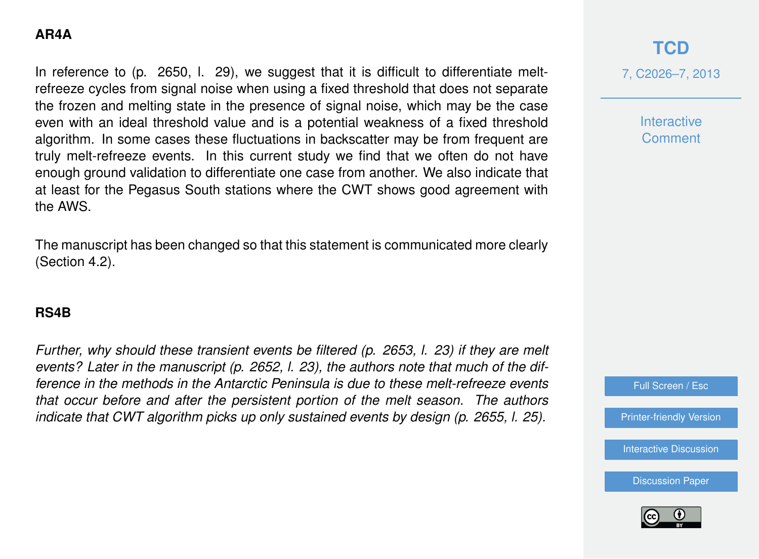## **AR4A**

In reference to (p. 2650, l. 29), we suggest that it is difficult to differentiate meltrefreeze cycles from signal noise when using a fixed threshold that does not separate the frozen and melting state in the presence of signal noise, which may be the case even with an ideal threshold value and is a potential weakness of a fixed threshold algorithm. In some cases these fluctuations in backscatter may be from frequent are truly melt-refreeze events. In this current study we find that we often do not have enough ground validation to differentiate one case from another. We also indicate that at least for the Pegasus South stations where the CWT shows good agreement with the AWS.

The manuscript has been changed so that this statement is communicated more clearly (Section 4.2).

## **RS4B**

*Further, why should these transient events be filtered (p. 2653, l. 23) if they are melt events? Later in the manuscript (p. 2652, l. 23), the authors note that much of the difference in the methods in the Antarctic Peninsula is due to these melt-refreeze events that occur before and after the persistent portion of the melt season. The authors indicate that CWT algorithm picks up only sustained events by design (p. 2655, l. 25).*

**[TCD](http://www.the-cryosphere-discuss.net)**

7, C2026–7, 2013

**Interactive Comment** 

Full Screen / Esc

[Printer-friendly Version](http://www.the-cryosphere-discuss.net/7/C2026/2013/tcd-7-C2026-2013-print.pdf)

[Interactive Discussion](http://www.the-cryosphere-discuss.net/7/2635/2013/tcd-7-2635-2013-discussion.html)

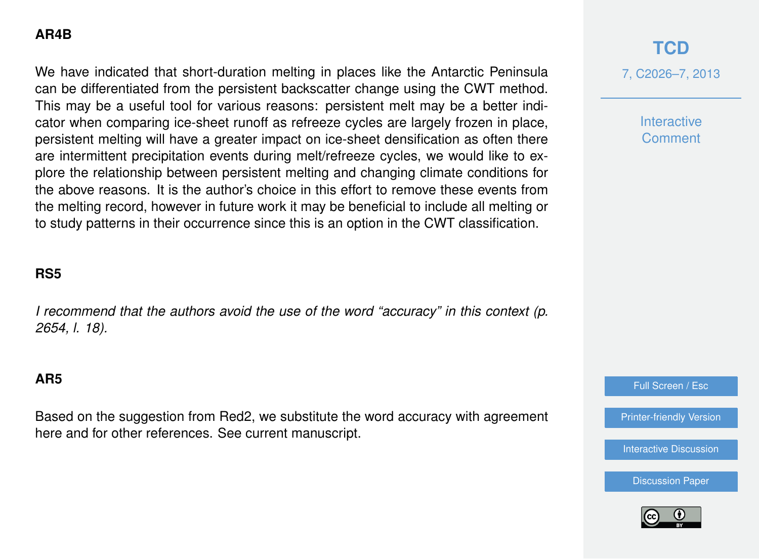## **AR4B**

We have indicated that short-duration melting in places like the Antarctic Peninsula can be differentiated from the persistent backscatter change using the CWT method. This may be a useful tool for various reasons: persistent melt may be a better indicator when comparing ice-sheet runoff as refreeze cycles are largely frozen in place, persistent melting will have a greater impact on ice-sheet densification as often there are intermittent precipitation events during melt/refreeze cycles, we would like to explore the relationship between persistent melting and changing climate conditions for the above reasons. It is the author's choice in this effort to remove these events from the melting record, however in future work it may be beneficial to include all melting or to study patterns in their occurrence since this is an option in the CWT classification.

#### **RS5**

*I recommend that the authors avoid the use of the word "accuracy" in this context (p. 2654, l. 18).*

#### **AR5**

Based on the suggestion from Red2, we substitute the word accuracy with agreement here and for other references. See current manuscript.

# **[TCD](http://www.the-cryosphere-discuss.net)**

7, C2026–7, 2013

**Interactive Comment** 

Full Screen / Esc

[Printer-friendly Version](http://www.the-cryosphere-discuss.net/7/C2026/2013/tcd-7-C2026-2013-print.pdf)

[Interactive Discussion](http://www.the-cryosphere-discuss.net/7/2635/2013/tcd-7-2635-2013-discussion.html)

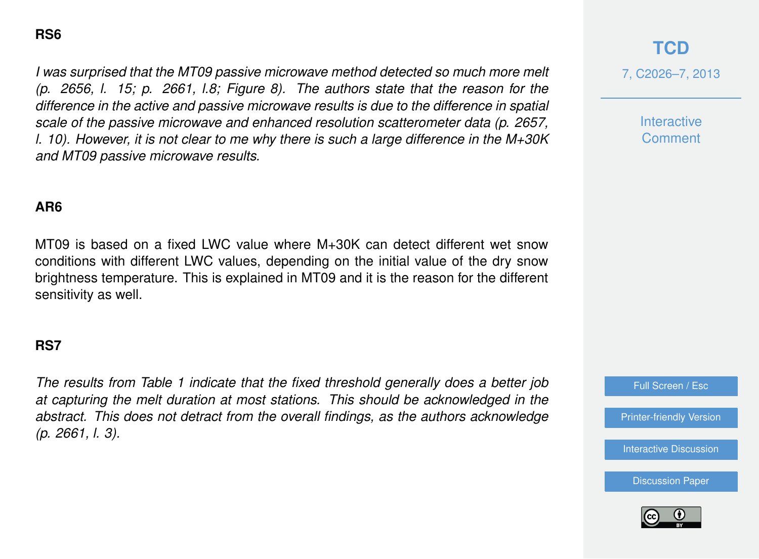*I was surprised that the MT09 passive microwave method detected so much more melt (p. 2656, l. 15; p. 2661, l.8; Figure 8). The authors state that the reason for the difference in the active and passive microwave results is due to the difference in spatial scale of the passive microwave and enhanced resolution scatterometer data (p. 2657, l. 10). However, it is not clear to me why there is such a large difference in the M+30K and MT09 passive microwave results.*

#### **AR6**

MT09 is based on a fixed LWC value where M+30K can detect different wet snow conditions with different LWC values, depending on the initial value of the dry snow brightness temperature. This is explained in MT09 and it is the reason for the different sensitivity as well.

#### **RS7**

*The results from Table 1 indicate that the fixed threshold generally does a better job at capturing the melt duration at most stations. This should be acknowledged in the abstract. This does not detract from the overall findings, as the authors acknowledge (p. 2661, l. 3).*

# **[TCD](http://www.the-cryosphere-discuss.net)**

7, C2026–7, 2013

**Interactive Comment** 

Full Screen / Esc

[Printer-friendly Version](http://www.the-cryosphere-discuss.net/7/C2026/2013/tcd-7-C2026-2013-print.pdf)

[Interactive Discussion](http://www.the-cryosphere-discuss.net/7/2635/2013/tcd-7-2635-2013-discussion.html)